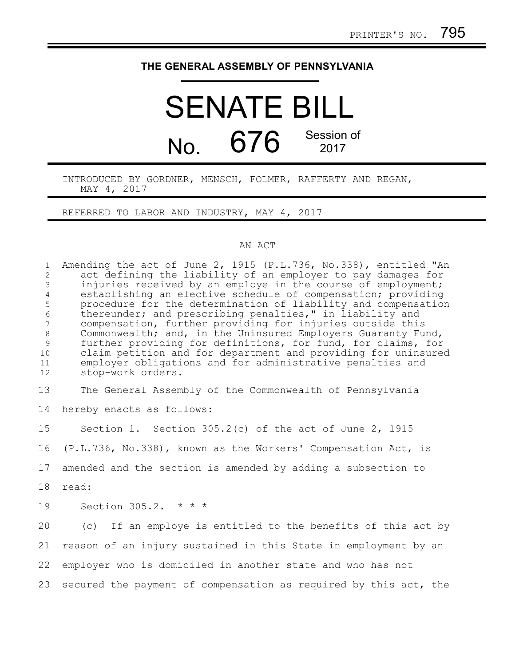### **THE GENERAL ASSEMBLY OF PENNSYLVANIA**

# SENATE BILL No.  $676$  Session of 2017

#### INTRODUCED BY GORDNER, MENSCH, FOLMER, RAFFERTY AND REGAN, MAY 4, 2017

REFERRED TO LABOR AND INDUSTRY, MAY 4, 2017

#### AN ACT

Amending the act of June 2, 1915 (P.L.736, No.338), entitled "An act defining the liability of an employer to pay damages for injuries received by an employe in the course of employment; establishing an elective schedule of compensation; providing procedure for the determination of liability and compensation thereunder; and prescribing penalties," in liability and compensation, further providing for injuries outside this Commonwealth; and, in the Uninsured Employers Guaranty Fund, further providing for definitions, for fund, for claims, for claim petition and for department and providing for uninsured employer obligations and for administrative penalties and stop-work orders. 1 2 3 4 5 6 7 8 9 10 11 12

The General Assembly of the Commonwealth of Pennsylvania hereby enacts as follows: 13 14

Section 1. Section 305.2(c) of the act of June 2, 1915 (P.L.736, No.338), known as the Workers' Compensation Act, is amended and the section is amended by adding a subsection to read: Section 305.2. \* \* \* (c) If an employe is entitled to the benefits of this act by 15 16 17 18 19 20

reason of an injury sustained in this State in employment by an employer who is domiciled in another state and who has not secured the payment of compensation as required by this act, the 21 22 23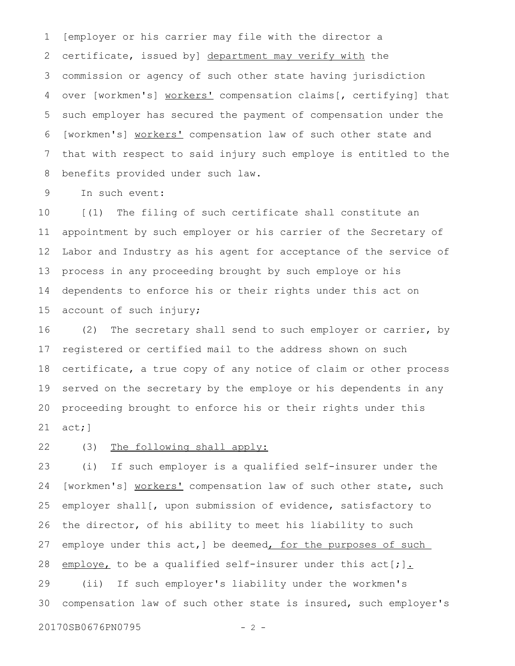[employer or his carrier may file with the director a certificate, issued by] department may verify with the commission or agency of such other state having jurisdiction over [workmen's] workers' compensation claims[, certifying] that such employer has secured the payment of compensation under the [workmen's] workers' compensation law of such other state and that with respect to said injury such employe is entitled to the benefits provided under such law. 1 2 3 4 5 6 7 8

In such event: 9

[(1) The filing of such certificate shall constitute an appointment by such employer or his carrier of the Secretary of Labor and Industry as his agent for acceptance of the service of process in any proceeding brought by such employe or his dependents to enforce his or their rights under this act on account of such injury; 10 11 12 13 14 15

(2) The secretary shall send to such employer or carrier, by registered or certified mail to the address shown on such certificate, a true copy of any notice of claim or other process served on the secretary by the employe or his dependents in any proceeding brought to enforce his or their rights under this act;] 16 17 18 19 20 21

(3) The following shall apply: 22

(i) If such employer is a qualified self-insurer under the [workmen's] workers' compensation law of such other state, such employer shall[, upon submission of evidence, satisfactory to the director, of his ability to meet his liability to such employe under this act, ] be deemed, for the purposes of such employe, to be a qualified self-insurer under this act[;]. (ii) If such employer's liability under the workmen's compensation law of such other state is insured, such employer's 23 24 25 26 27 28 29 30

20170SB0676PN0795 - 2 -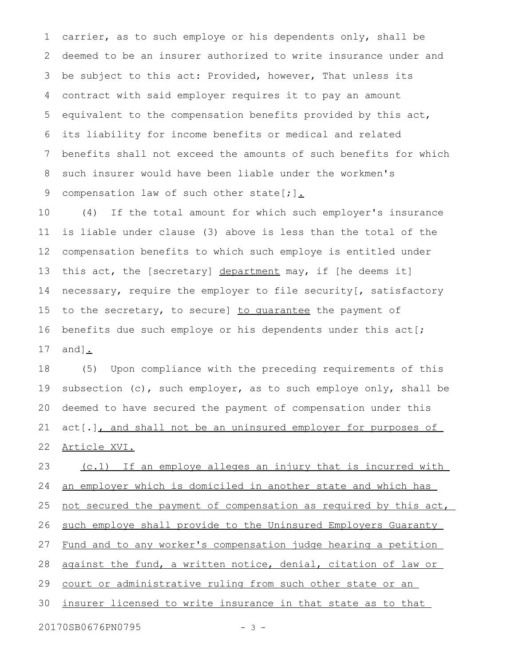carrier, as to such employe or his dependents only, shall be deemed to be an insurer authorized to write insurance under and be subject to this act: Provided, however, That unless its contract with said employer requires it to pay an amount equivalent to the compensation benefits provided by this act, its liability for income benefits or medical and related benefits shall not exceed the amounts of such benefits for which such insurer would have been liable under the workmen's compensation law of such other state[;]. 1 2 3 4 5 6 7 8 9

(4) If the total amount for which such employer's insurance is liable under clause (3) above is less than the total of the compensation benefits to which such employe is entitled under this act, the [secretary] department may, if [he deems it] necessary, require the employer to file security[, satisfactory to the secretary, to secure] to guarantee the payment of benefits due such employe or his dependents under this act[; and]. 10 11 12 13 14 15 16 17

(5) Upon compliance with the preceding requirements of this subsection (c), such employer, as to such employe only, shall be deemed to have secured the payment of compensation under this act[.], and shall not be an uninsured employer for purposes of Article XVI. 18 19 20 21 22

(c.1) If an employe alleges an injury that is incurred with an employer which is domiciled in another state and which has not secured the payment of compensation as required by this act, such employe shall provide to the Uninsured Employers Guaranty Fund and to any worker's compensation judge hearing a petition against the fund, a written notice, denial, citation of law or court or administrative ruling from such other state or an insurer licensed to write insurance in that state as to that 23 24 25 26 27 28 29 30

20170SB0676PN0795 - 3 -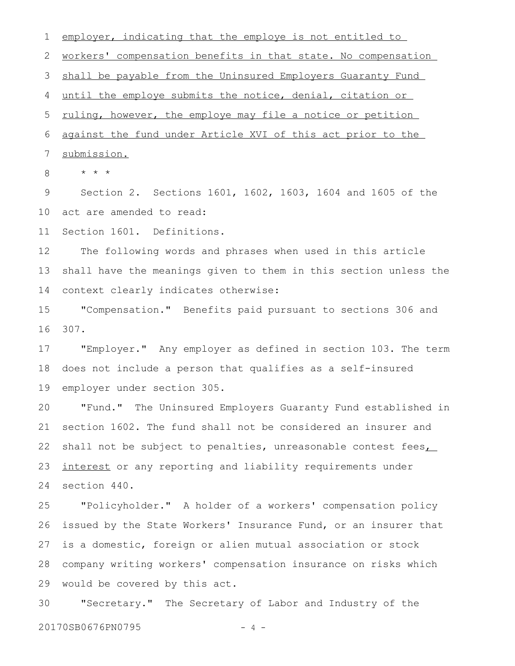employer, indicating that the employe is not entitled to workers' compensation benefits in that state. No compensation shall be payable from the Uninsured Employers Guaranty Fund until the employe submits the notice, denial, citation or ruling, however, the employe may file a notice or petition 1 2 3 4 5

against the fund under Article XVI of this act prior to the 6

submission. 7

\* \* \* 8

Section 2. Sections 1601, 1602, 1603, 1604 and 1605 of the act are amended to read: 9 10

Section 1601. Definitions. 11

The following words and phrases when used in this article shall have the meanings given to them in this section unless the context clearly indicates otherwise: 12 13 14

"Compensation." Benefits paid pursuant to sections 306 and 307. 15 16

"Employer." Any employer as defined in section 103. The term does not include a person that qualifies as a self-insured employer under section 305. 17 18 19

"Fund." The Uninsured Employers Guaranty Fund established in section 1602. The fund shall not be considered an insurer and shall not be subject to penalties, unreasonable contest fees, interest or any reporting and liability requirements under section 440. 20 21 22 23 24

"Policyholder." A holder of a workers' compensation policy issued by the State Workers' Insurance Fund, or an insurer that is a domestic, foreign or alien mutual association or stock company writing workers' compensation insurance on risks which would be covered by this act. 25 26 27 28 29

"Secretary." The Secretary of Labor and Industry of the 20170SB0676PN0795 - 4 -30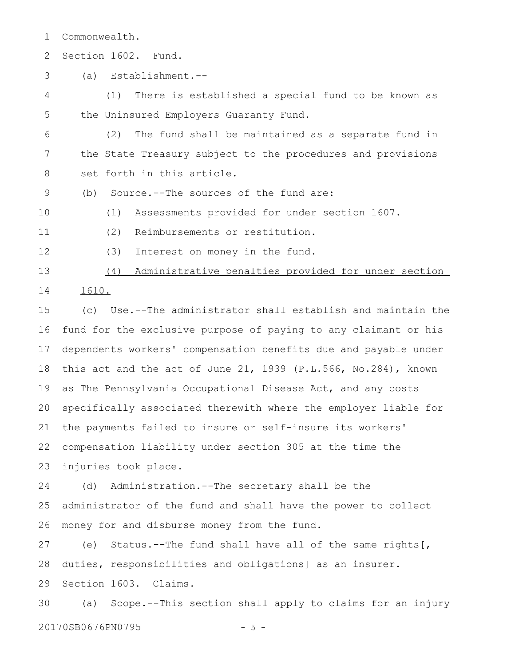Commonwealth. 1

Section 1602. Fund. 2

(a) Establishment.-- 3

(1) There is established a special fund to be known as the Uninsured Employers Guaranty Fund. 4 5

(2) The fund shall be maintained as a separate fund in the State Treasury subject to the procedures and provisions set forth in this article. 6 7 8

(b) Source.--The sources of the fund are: 9

(1) Assessments provided for under section 1607. 10

11

12

- (2) Reimbursements or restitution.
- (3) Interest on money in the fund.

(4) Administrative penalties provided for under section 1610. 13 14

(c) Use.--The administrator shall establish and maintain the fund for the exclusive purpose of paying to any claimant or his dependents workers' compensation benefits due and payable under this act and the act of June 21, 1939 (P.L.566, No.284), known as The Pennsylvania Occupational Disease Act, and any costs specifically associated therewith where the employer liable for the payments failed to insure or self-insure its workers' compensation liability under section 305 at the time the injuries took place. 15 16 17 18 19 20 21 22 23

(d) Administration.--The secretary shall be the administrator of the fund and shall have the power to collect money for and disburse money from the fund. 24 25 26

(e) Status.--The fund shall have all of the same rights[, duties, responsibilities and obligations] as an insurer. Section 1603. Claims. 27 28 29

(a) Scope.--This section shall apply to claims for an injury 20170SB0676PN0795 - 5 -30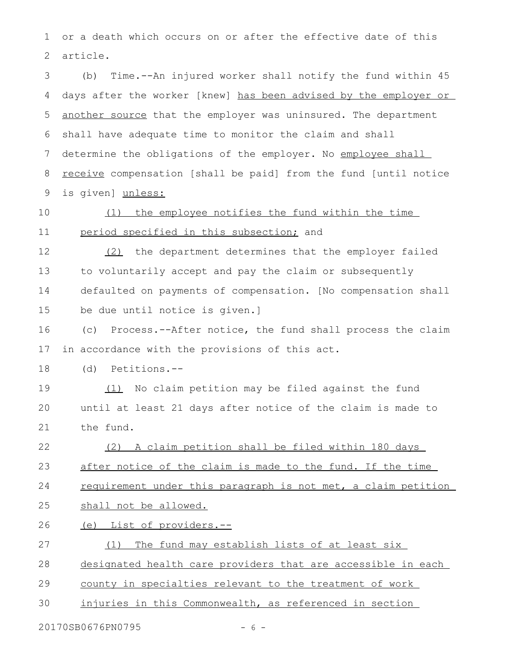or a death which occurs on or after the effective date of this article. 1 2

(b) Time.--An injured worker shall notify the fund within 45 days after the worker [knew] has been advised by the employer or another source that the employer was uninsured. The department shall have adequate time to monitor the claim and shall determine the obligations of the employer. No employee shall receive compensation [shall be paid] from the fund [until notice is given] unless: 3 4 5 6 7 8 9

10

11

## (1) the employee notifies the fund within the time period specified in this subsection; and

(2) the department determines that the employer failed to voluntarily accept and pay the claim or subsequently defaulted on payments of compensation. [No compensation shall be due until notice is given.] 12 13 14 15

(c) Process.--After notice, the fund shall process the claim in accordance with the provisions of this act. 16 17

(d) Petitions.-- 18

(1) No claim petition may be filed against the fund until at least 21 days after notice of the claim is made to the fund. 19 20 21

 (2) A claim petition shall be filed within 180 days 22

after notice of the claim is made to the fund. If the time 23

requirement under this paragraph is not met, a claim petition 24

shall not be allowed. 25

(e) List of providers.-- 26

(1) The fund may establish lists of at least six 27

designated health care providers that are accessible in each 28

county in specialties relevant to the treatment of work 29

injuries in this Commonwealth, as referenced in section 30

20170SB0676PN0795 - 6 -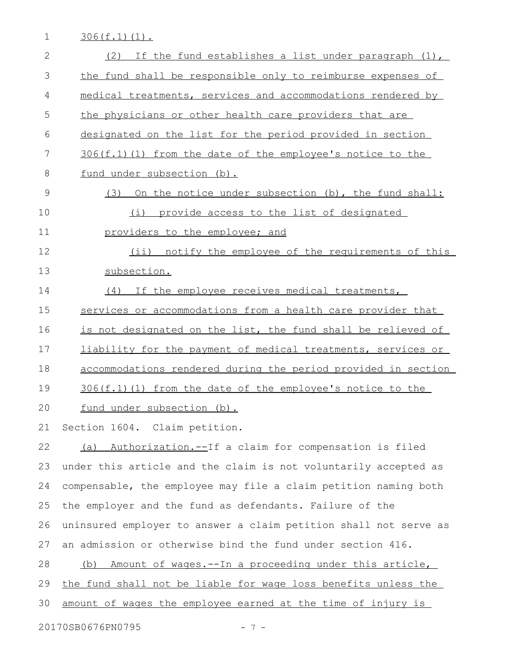1 306(f.1)(1).

| $\mathbf{2}$ | If the fund establishes a list under paragraph $(1)$ ,<br>(2)    |
|--------------|------------------------------------------------------------------|
| 3            | the fund shall be responsible only to reimburse expenses of      |
| 4            | medical treatments, services and accommodations rendered by      |
| 5            | the physicians or other health care providers that are           |
| 6            | designated on the list for the period provided in section        |
| 7            | 306(f.1)(1) from the date of the employee's notice to the        |
| 8            | fund under subsection (b).                                       |
| 9            | On the notice under subsection (b), the fund shall:<br>(3)       |
| 10           | provide access to the list of designated<br>(i)                  |
| 11           | providers to the employee; and                                   |
| 12           | (ii) notify the employee of the requirements of this             |
| 13           | subsection.                                                      |
| 14           | (4) If the employee receives medical treatments,                 |
| 15           | services or accommodations from a health care provider that      |
| 16           | is not designated on the list, the fund shall be relieved of     |
| 17           | liability for the payment of medical treatments, services or     |
| 18           | accommodations rendered during the period provided in section    |
| 19           | 306(f.1)(1) from the date of the employee's notice to the        |
| 20           | fund under subsection (b).                                       |
| 21           | Section 1604. Claim petition.                                    |
| 22           | (a) Authorization.--If a claim for compensation is filed         |
| 23           | under this article and the claim is not voluntarily accepted as  |
| 24           | compensable, the employee may file a claim petition naming both  |
| 25           | the employer and the fund as defendants. Failure of the          |
| 26           | uninsured employer to answer a claim petition shall not serve as |
| 27           | an admission or otherwise bind the fund under section 416.       |
| 28           | (b) Amount of wages.--In a proceeding under this article,        |
| 29           | the fund shall not be liable for wage loss benefits unless the   |
| 30           | amount of wages the employee earned at the time of injury is     |
|              | 20170SB0676PN0795<br>$-7-$                                       |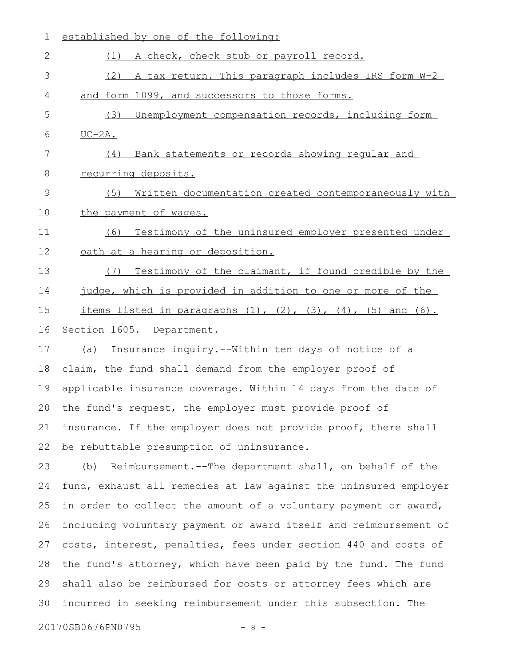| 1  | established by one of the following:                                                                                                             |
|----|--------------------------------------------------------------------------------------------------------------------------------------------------|
| 2  | A check, check stub or payroll record.<br>(1)                                                                                                    |
| 3  | (2) A tax return. This paragraph includes IRS form W-2                                                                                           |
| 4  | and form 1099, and successors to those forms.                                                                                                    |
| 5  | (3)<br>Unemployment compensation records, including form                                                                                         |
| 6  | $UC-2A.$                                                                                                                                         |
| 7  | (4) Bank statements or records showing regular and                                                                                               |
| 8  | recurring deposits.                                                                                                                              |
| 9  | Written documentation created contemporaneously with<br>(5)                                                                                      |
| 10 | the payment of wages.                                                                                                                            |
| 11 | Testimony of the uninsured employer presented under<br>(6)                                                                                       |
| 12 | oath at a hearing or deposition.                                                                                                                 |
| 13 | Testimony of the claimant, if found credible by the<br>(7)                                                                                       |
| 14 | judge, which is provided in addition to one or more of the                                                                                       |
| 15 | <u>items listed in paragraphs <math>(1)</math>, <math>(2)</math>, <math>(3)</math>, <math>(4)</math>, <math>(5)</math> and <math>(6)</math>.</u> |
| 16 | Section 1605. Department.                                                                                                                        |
| 17 | Insurance inquiry.--Within ten days of notice of a<br>(a)                                                                                        |
| 18 | claim, the fund shall demand from the employer proof of                                                                                          |
| 19 | applicable insurance coverage. Within 14 days from the date of                                                                                   |
|    | 20 the fund's request, the employer must provide proof of                                                                                        |
| 21 | insurance. If the employer does not provide proof, there shall                                                                                   |
| 22 | be rebuttable presumption of uninsurance.                                                                                                        |
| 23 | Reimbursement.--The department shall, on behalf of the<br>(b)                                                                                    |
| 24 | fund, exhaust all remedies at law against the uninsured employer                                                                                 |
| 25 | in order to collect the amount of a voluntary payment or award,                                                                                  |
| 26 | including voluntary payment or award itself and reimbursement of                                                                                 |
| 27 | costs, interest, penalties, fees under section 440 and costs of                                                                                  |
| 28 | the fund's attorney, which have been paid by the fund. The fund                                                                                  |
| 29 | shall also be reimbursed for costs or attorney fees which are                                                                                    |
| 30 | incurred in seeking reimbursement under this subsection. The                                                                                     |

20170SB0676PN0795 - 8 -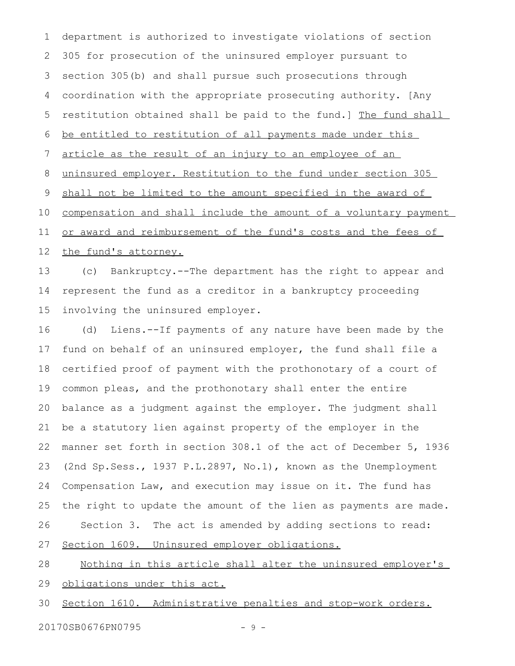department is authorized to investigate violations of section 305 for prosecution of the uninsured employer pursuant to section 305(b) and shall pursue such prosecutions through coordination with the appropriate prosecuting authority. [Any restitution obtained shall be paid to the fund.] The fund shall be entitled to restitution of all payments made under this article as the result of an injury to an employee of an uninsured employer. Restitution to the fund under section 305 shall not be limited to the amount specified in the award of compensation and shall include the amount of a voluntary payment or award and reimbursement of the fund's costs and the fees of the fund's attorney. 1 2 3 4 5 6 7 8 9 10 11 12

(c) Bankruptcy.--The department has the right to appear and represent the fund as a creditor in a bankruptcy proceeding involving the uninsured employer. 13 14 15

(d) Liens.--If payments of any nature have been made by the fund on behalf of an uninsured employer, the fund shall file a certified proof of payment with the prothonotary of a court of common pleas, and the prothonotary shall enter the entire balance as a judgment against the employer. The judgment shall be a statutory lien against property of the employer in the manner set forth in section 308.1 of the act of December 5, 1936 (2nd Sp.Sess., 1937 P.L.2897, No.1), known as the Unemployment Compensation Law, and execution may issue on it. The fund has the right to update the amount of the lien as payments are made. Section 3. The act is amended by adding sections to read: Section 1609. Uninsured employer obligations. 16 17 18 19 20 21 22 23 24 25 26 27

Nothing in this article shall alter the uninsured employer's 28

obligations under this act. 29

Section 1610. Administrative penalties and stop-work orders. 30

20170SB0676PN0795 - 9 -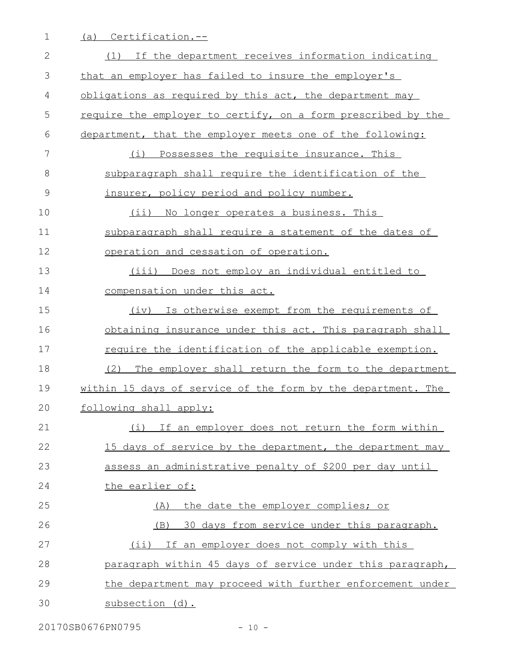1 (a) Certification.--

| $\overline{2}$ | (1) If the department receives information indicating        |
|----------------|--------------------------------------------------------------|
| 3              | that an employer has failed to insure the employer's         |
| 4              | obligations as required by this act, the department may      |
| 5              | require the employer to certify, on a form prescribed by the |
| 6              | department, that the employer meets one of the following:    |
| $\overline{7}$ | (i) Possesses the requisite insurance. This                  |
| 8              | subparagraph shall require the identification of the         |
| 9              | insurer, policy period and policy number.                    |
| 10             | (ii) No longer operates a business. This                     |
| 11             | subparagraph shall require a statement of the dates of       |
| 12             | operation and cessation of operation.                        |
| 13             | Does not employ an individual entitled to<br>(iii)           |
| 14             | compensation under this act.                                 |
| 15             | Is otherwise exempt from the requirements of<br>(iv)         |
| 16             | obtaining insurance under this act. This paragraph shall     |
| 17             | require the identification of the applicable exemption.      |
| 18             | (2)<br>The employer shall return the form to the department  |
| 19             | within 15 days of service of the form by the department. The |
| 20             | following shall apply:                                       |
| 21             | (i)<br>If an employer does not return the form within        |
| 22             | 15 days of service by the department, the department may     |
| 23             | assess an administrative penalty of \$200 per day until      |
| 24             | the earlier of:                                              |
| 25             | the date the employer complies; or<br>(A)                    |
| 26             | 30 days from service under this paragraph.<br>(B)            |
| 27             | (ii) If an employer does not comply with this                |
| 28             | paragraph within 45 days of service under this paragraph,    |
| 29             | the department may proceed with further enforcement under    |
| 30             | subsection (d).                                              |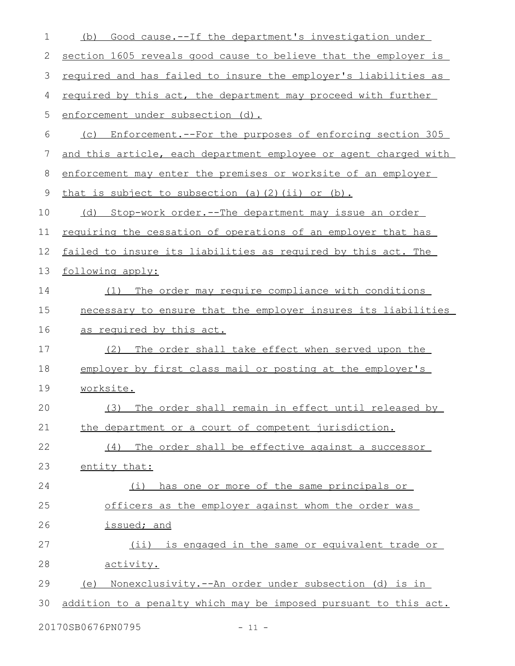| 1  | Good cause.--If the department's investigation under<br>(b)          |
|----|----------------------------------------------------------------------|
| 2  | section 1605 reveals good cause to believe that the employer is      |
| 3  | required and has failed to insure the employer's liabilities as      |
| 4  | required by this act, the department may proceed with further        |
| 5  | enforcement under subsection (d).                                    |
| 6  | Enforcement.--For the purposes of enforcing section 305<br>(C)       |
| 7  | and this article, each department employee or agent charged with     |
| 8  | enforcement may enter the premises or worksite of an employer        |
| 9  | that is subject to subsection (a) (2) (ii) or (b).                   |
| 10 | Stop-work order.--The department may issue an order<br>(d)           |
| 11 | <u>requiring the cessation of operations of an employer that has</u> |
| 12 | failed to insure its liabilities as required by this act. The        |
| 13 | following apply:                                                     |
| 14 | The order may require compliance with conditions<br>(1)              |
| 15 | necessary to ensure that the employer insures its liabilities        |
| 16 | as required by this act.                                             |
| 17 | The order shall take effect when served upon the<br>(2)              |
| 18 | employer by first class mail or posting at the employer's            |
| 19 | worksite.                                                            |
| 20 | (3) The order shall remain in effect until released by               |
| 21 | the department or a court of competent jurisdiction.                 |
| 22 | (4) The order shall be effective against a successor                 |
| 23 | entity that:                                                         |
| 24 | (i) has one or more of the same principals or                        |
| 25 | officers as the employer against whom the order was                  |
| 26 | issued; and                                                          |
| 27 | (ii) is engaged in the same or equivalent trade or                   |
| 28 | activity.                                                            |
| 29 | (e) Nonexclusivity.--An order under subsection (d) is in             |
| 30 | addition to a penalty which may be imposed pursuant to this act.     |
|    | 20170SB0676PN0795<br>$-11 -$                                         |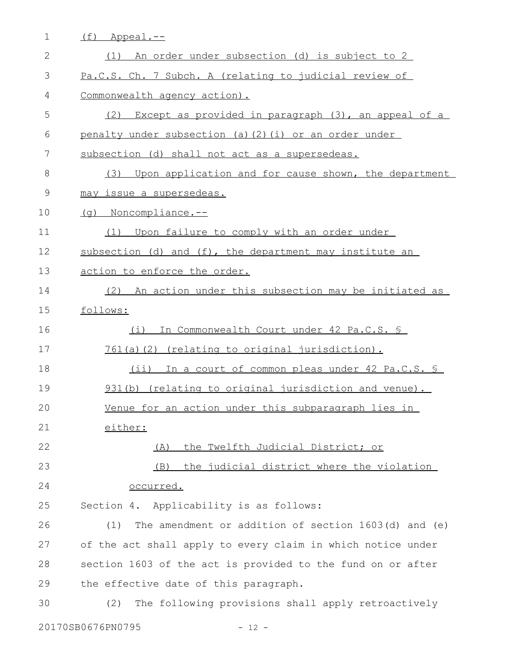| $\mathbf 1$     | (f)<br>Appeal.--                                            |
|-----------------|-------------------------------------------------------------|
| $\mathbf{2}$    | (1) An order under subsection (d) is subject to 2           |
| 3               | Pa.C.S. Ch. 7 Subch. A (relating to judicial review of      |
| 4               | Commonwealth agency action).                                |
| 5               | Except as provided in paragraph (3), an appeal of a<br>(2)  |
| 6               | penalty under subsection (a) (2) (i) or an order under      |
| $7\phantom{.0}$ | subsection (d) shall not act as a supersedeas.              |
| 8               | Upon application and for cause shown, the department<br>(3) |
| $\mathcal{G}$   | may issue a supersedeas.                                    |
| 10              | (q) Noncompliance.--                                        |
| 11              | (1) Upon failure to comply with an order under              |
| 12              | subsection (d) and (f), the department may institute an     |
| 13              | action to enforce the order.                                |
| 14              | (2) An action under this subsection may be initiated as     |
| 15              | follows:                                                    |
| 16              | In Commonwealth Court under 42 Pa.C.S. \$<br>(i)            |
| 17              | 761(a)(2) (relating to original jurisdiction).              |
| 18              | (ii) In a court of common pleas under 42 Pa.C.S. S          |
| 19              | 931(b) (relating to original jurisdiction and venue).       |
| 20              | Venue for an action under this subparagraph lies in         |
| 21              | either:                                                     |
| 22              | the Twelfth Judicial District; or<br>(A)                    |
| 23              | the judicial district where the violation<br>(B)            |
| 24              | occurred.                                                   |
| 25              | Section 4. Applicability is as follows:                     |
| 26              | The amendment or addition of section 1603(d) and (e)<br>(1) |
| 27              | of the act shall apply to every claim in which notice under |
| 28              | section 1603 of the act is provided to the fund on or after |
| 29              | the effective date of this paragraph.                       |
| 30              | The following provisions shall apply retroactively<br>(2)   |
|                 |                                                             |

20170SB0676PN0795 - 12 -